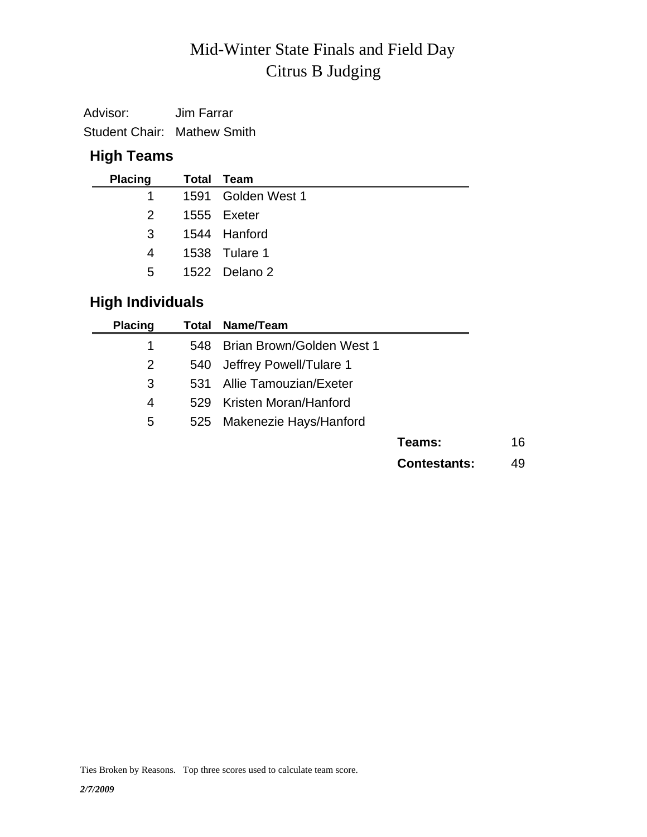# Citrus B Judging Mid-Winter State Finals and Field Day

Advisor: Jim Farrar Student Chair: Mathew Smith

## **High Teams**

| <b>Placing</b>         | Total Team         |
|------------------------|--------------------|
| $1 \quad \blacksquare$ | 1591 Golden West 1 |
| $2 \quad$              | 1555 Exeter        |
| $\mathbf{3}$           | 1544 Hanford       |
| 4                      | 1538 Tulare 1      |
| 5                      | 1522 Delano 2      |
|                        |                    |

## **High Individuals**

| <b>Placing</b> | Total | Name/Team                 |                     |    |
|----------------|-------|---------------------------|---------------------|----|
| 1              | 548   | Brian Brown/Golden West 1 |                     |    |
| 2              | 540   | Jeffrey Powell/Tulare 1   |                     |    |
| 3              | 531   | Allie Tamouzian/Exeter    |                     |    |
| 4              | 529   | Kristen Moran/Hanford     |                     |    |
| 5              | 525   | Makenezie Hays/Hanford    |                     |    |
|                |       |                           | Teams:              | 16 |
|                |       |                           | <b>Contestants:</b> | 49 |
|                |       |                           |                     |    |

Ties Broken by Reasons. Top three scores used to calculate team score.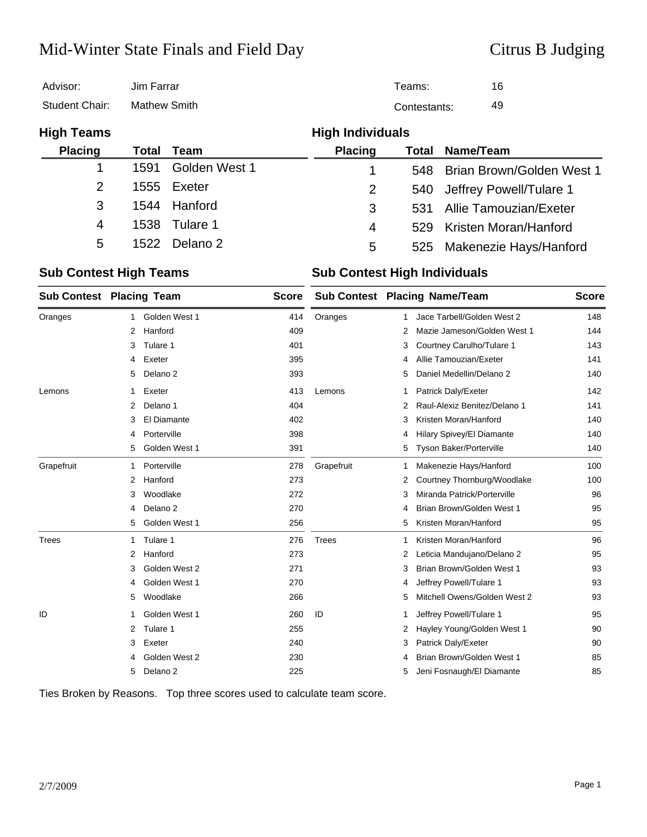# Mid-Winter State Finals and Field Day Citrus B Judging

| Advisor:          | Jim Farrar          |               |                         | Teams:             | 16                            |
|-------------------|---------------------|---------------|-------------------------|--------------------|-------------------------------|
| Student Chair:    | <b>Mathew Smith</b> |               |                         | 49<br>Contestants: |                               |
| <b>High Teams</b> |                     |               | <b>High Individuals</b> |                    |                               |
| <b>Placing</b>    | Total               | Team          | <b>Placing</b>          |                    | <b>Total Name/Team</b>        |
|                   | 1591                | Golden West 1 | 1                       |                    | 548 Brian Brown/Golden West 1 |
| 2                 |                     | 1555 Exeter   | 2                       | 540                | Jeffrey Powell/Tulare 1       |
| 3                 | 1544                | Hanford       | 3                       | 531                | Allie Tamouzian/Exeter        |
| 4                 | 1538                | Tulare 1      | 4                       | 529                | Kristen Moran/Hanford         |
| 5                 | 1522                | Delano 2      | 5                       | 525                | Makenezie Hays/Hanford        |

### **Sub Contest High Teams Sub Contest High Individuals**

|              | <b>Sub Contest Placing Team</b><br><b>Score</b> |                     |     |              | <b>Sub Contest Placing Name/Team</b> | <b>Score</b>                   |     |  |
|--------------|-------------------------------------------------|---------------------|-----|--------------|--------------------------------------|--------------------------------|-----|--|
| Oranges      | 1                                               | Golden West 1       | 414 | Oranges      | 1.                                   | Jace Tarbell/Golden West 2     | 148 |  |
|              | 2                                               | Hanford             | 409 |              | 2                                    | Mazie Jameson/Golden West 1    | 144 |  |
|              | 3                                               | Tulare 1            | 401 |              | 3                                    | Courtney Carulho/Tulare 1      | 143 |  |
|              | 4                                               | Exeter              | 395 |              | 4                                    | Allie Tamouzian/Exeter         | 141 |  |
|              | 5                                               | Delano <sub>2</sub> | 393 |              | 5                                    | Daniel Medellin/Delano 2       | 140 |  |
| Lemons       | 1                                               | Exeter              | 413 | Lemons       | 1                                    | Patrick Daly/Exeter            | 142 |  |
|              | 2                                               | Delano <sub>1</sub> | 404 |              | 2                                    | Raul-Alexiz Benitez/Delano 1   | 141 |  |
|              | 3                                               | El Diamante         | 402 |              | 3                                    | Kristen Moran/Hanford          | 140 |  |
|              | 4                                               | Porterville         | 398 |              | 4                                    | Hilary Spivey/El Diamante      | 140 |  |
|              | 5                                               | Golden West 1       | 391 |              | 5                                    | <b>Tyson Baker/Porterville</b> | 140 |  |
| Grapefruit   | -1                                              | Porterville         | 278 | Grapefruit   | 1                                    | Makenezie Hays/Hanford         | 100 |  |
|              | 2                                               | Hanford             | 273 |              | 2                                    | Courtney Thornburg/Woodlake    | 100 |  |
|              | 3                                               | Woodlake            | 272 |              | 3                                    | Miranda Patrick/Porterville    | 96  |  |
|              | 4                                               | Delano <sub>2</sub> | 270 |              | 4                                    | Brian Brown/Golden West 1      | 95  |  |
|              | 5                                               | Golden West 1       | 256 |              | 5                                    | Kristen Moran/Hanford          | 95  |  |
| <b>Trees</b> | 1                                               | Tulare 1            | 276 | <b>Trees</b> | 1                                    | Kristen Moran/Hanford          | 96  |  |
|              | 2                                               | Hanford             | 273 |              | 2                                    | Leticia Mandujano/Delano 2     | 95  |  |
|              | 3                                               | Golden West 2       | 271 |              | 3                                    | Brian Brown/Golden West 1      | 93  |  |
|              | 4                                               | Golden West 1       | 270 |              | 4                                    | Jeffrey Powell/Tulare 1        | 93  |  |
|              | 5                                               | Woodlake            | 266 |              | 5                                    | Mitchell Owens/Golden West 2   | 93  |  |
| ID           | 1                                               | Golden West 1       | 260 | ID           | 1                                    | Jeffrey Powell/Tulare 1        | 95  |  |
|              | 2                                               | Tulare 1            | 255 |              | 2                                    | Hayley Young/Golden West 1     | 90  |  |
|              | 3                                               | Exeter              | 240 |              | 3                                    | Patrick Daly/Exeter            | 90  |  |
|              | 4                                               | Golden West 2       | 230 |              | 4                                    | Brian Brown/Golden West 1      | 85  |  |
|              | 5                                               | Delano <sub>2</sub> | 225 |              | 5                                    | Jeni Fosnaugh/El Diamante      | 85  |  |

Ties Broken by Reasons. Top three scores used to calculate team score.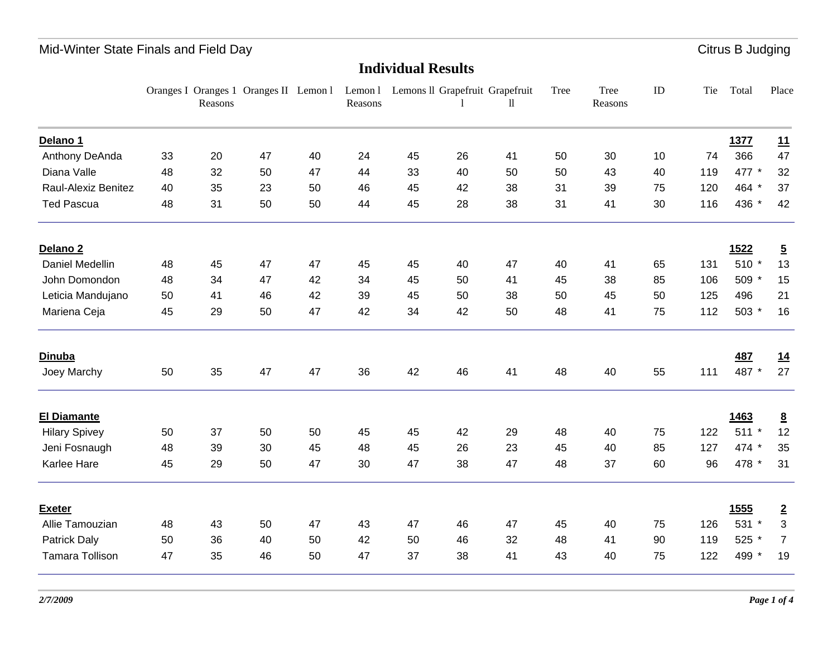## **Individual Results**

|                        |    | Reasons | Oranges I Oranges 1 Oranges II Lemon 1 |    | Reasons | Lemon 1 Lemons II Grapefruit Grapefruit |    | 11 | Tree | <b>Tree</b><br>Reasons | ID | Tie | Total       | Place           |
|------------------------|----|---------|----------------------------------------|----|---------|-----------------------------------------|----|----|------|------------------------|----|-----|-------------|-----------------|
| Delano 1               |    |         |                                        |    |         |                                         |    |    |      |                        |    |     | 1377        | 11              |
| Anthony DeAnda         | 33 | 20      | 47                                     | 40 | 24      | 45                                      | 26 | 41 | 50   | 30                     | 10 | 74  | 366         | 47              |
| Diana Valle            | 48 | 32      | 50                                     | 47 | 44      | 33                                      | 40 | 50 | 50   | 43                     | 40 | 119 | 477 *       | 32              |
| Raul-Alexiz Benitez    | 40 | 35      | 23                                     | 50 | 46      | 45                                      | 42 | 38 | 31   | 39                     | 75 | 120 | 464 *       | 37              |
| <b>Ted Pascua</b>      | 48 | 31      | 50                                     | 50 | 44      | 45                                      | 28 | 38 | 31   | 41                     | 30 | 116 | 436 *       | 42              |
| Delano <sub>2</sub>    |    |         |                                        |    |         |                                         |    |    |      |                        |    |     | 1522        | $\overline{5}$  |
| Daniel Medellin        | 48 | 45      | 47                                     | 47 | 45      | 45                                      | 40 | 47 | 40   | 41                     | 65 | 131 | 510 *       | 13              |
| John Domondon          | 48 | 34      | 47                                     | 42 | 34      | 45                                      | 50 | 41 | 45   | 38                     | 85 | 106 | 509 *       | 15              |
| Leticia Mandujano      | 50 | 41      | 46                                     | 42 | 39      | 45                                      | 50 | 38 | 50   | 45                     | 50 | 125 | 496         | 21              |
| Mariena Ceja           | 45 | 29      | 50                                     | 47 | 42      | 34                                      | 42 | 50 | 48   | 41                     | 75 | 112 | 503 *       | 16              |
| Dinuba                 |    |         |                                        |    |         |                                         |    |    |      |                        |    |     | <b>487</b>  | <u>14</u>       |
| Joey Marchy            | 50 | 35      | 47                                     | 47 | 36      | 42                                      | 46 | 41 | 48   | 40                     | 55 | 111 | 487 *       | 27              |
| <b>El Diamante</b>     |    |         |                                        |    |         |                                         |    |    |      |                        |    |     | 1463        | $\underline{8}$ |
| <b>Hilary Spivey</b>   | 50 | 37      | 50                                     | 50 | 45      | 45                                      | 42 | 29 | 48   | 40                     | 75 | 122 | $511 *$     | 12              |
| Jeni Fosnaugh          | 48 | 39      | 30                                     | 45 | 48      | 45                                      | 26 | 23 | 45   | 40                     | 85 | 127 | 474 *       | 35              |
| Karlee Hare            | 45 | 29      | 50                                     | 47 | 30      | 47                                      | 38 | 47 | 48   | 37                     | 60 | 96  | 478 *       | 31              |
| <b>Exeter</b>          |    |         |                                        |    |         |                                         |    |    |      |                        |    |     | <b>1555</b> | $\overline{2}$  |
| Allie Tamouzian        | 48 | 43      | 50                                     | 47 | 43      | 47                                      | 46 | 47 | 45   | 40                     | 75 | 126 | 531 *       | $\mathbf{3}$    |
| Patrick Daly           | 50 | 36      | 40                                     | 50 | 42      | 50                                      | 46 | 32 | 48   | 41                     | 90 | 119 | 525 *       | $\overline{7}$  |
| <b>Tamara Tollison</b> | 47 | 35      | 46                                     | 50 | 47      | 37                                      | 38 | 41 | 43   | 40                     | 75 | 122 | 499 *       | 19              |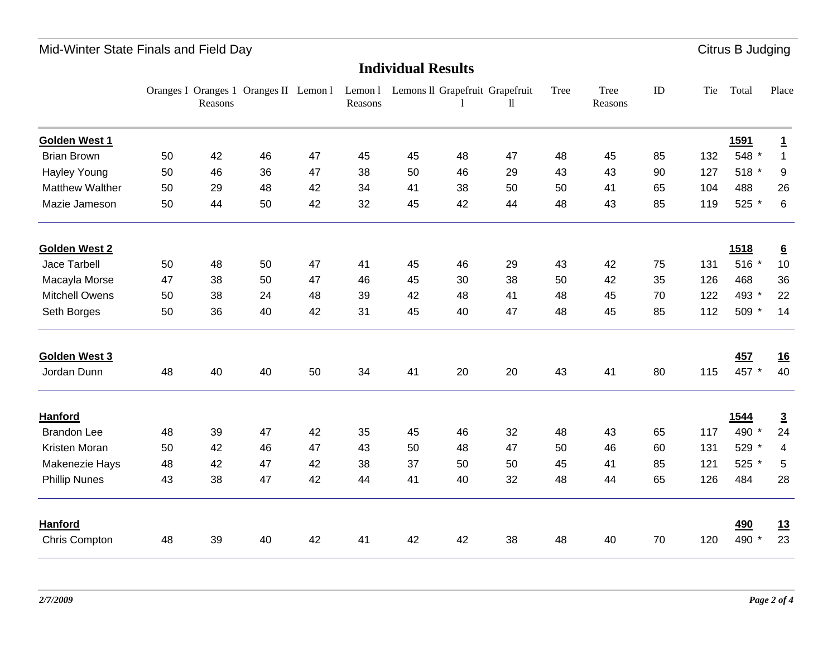## **Individual Results**

|                        |    | Reasons | Oranges I Oranges 1 Oranges II Lemon 1 |    | Reasons | Lemon 1 Lemons II Grapefruit Grapefruit |    | 11 | Tree | Tree<br>Reasons | ID | Tie | Total       | Place           |
|------------------------|----|---------|----------------------------------------|----|---------|-----------------------------------------|----|----|------|-----------------|----|-----|-------------|-----------------|
| Golden West 1          |    |         |                                        |    |         |                                         |    |    |      |                 |    |     | <b>1591</b> | $\overline{1}$  |
| <b>Brian Brown</b>     | 50 | 42      | 46                                     | 47 | 45      | 45                                      | 48 | 47 | 48   | 45              | 85 | 132 | 548 *       | $\mathbf{1}$    |
| <b>Hayley Young</b>    | 50 | 46      | 36                                     | 47 | 38      | 50                                      | 46 | 29 | 43   | 43              | 90 | 127 | 518 *       | 9               |
| <b>Matthew Walther</b> | 50 | 29      | 48                                     | 42 | 34      | 41                                      | 38 | 50 | 50   | 41              | 65 | 104 | 488         | 26              |
| Mazie Jameson          | 50 | 44      | 50                                     | 42 | 32      | 45                                      | 42 | 44 | 48   | 43              | 85 | 119 | 525 *       | $\,6\,$         |
| <b>Golden West 2</b>   |    |         |                                        |    |         |                                         |    |    |      |                 |    |     | 1518        | $\underline{6}$ |
| Jace Tarbell           | 50 | 48      | 50                                     | 47 | 41      | 45                                      | 46 | 29 | 43   | 42              | 75 | 131 | 516 *       | 10              |
| Macayla Morse          | 47 | 38      | 50                                     | 47 | 46      | 45                                      | 30 | 38 | 50   | 42              | 35 | 126 | 468         | 36              |
| <b>Mitchell Owens</b>  | 50 | 38      | 24                                     | 48 | 39      | 42                                      | 48 | 41 | 48   | 45              | 70 | 122 | 493 *       | 22              |
| Seth Borges            | 50 | 36      | 40                                     | 42 | 31      | 45                                      | 40 | 47 | 48   | 45              | 85 | 112 | 509 *       | 14              |
| Golden West 3          |    |         |                                        |    |         |                                         |    |    |      |                 |    |     | 457         | <u>16</u>       |
| Jordan Dunn            | 48 | 40      | 40                                     | 50 | 34      | 41                                      | 20 | 20 | 43   | 41              | 80 | 115 | 457 *       | 40              |
| Hanford                |    |         |                                        |    |         |                                         |    |    |      |                 |    |     | 1544        | $\overline{3}$  |
| <b>Brandon Lee</b>     | 48 | 39      | 47                                     | 42 | 35      | 45                                      | 46 | 32 | 48   | 43              | 65 | 117 | 490 *       | 24              |
| Kristen Moran          | 50 | 42      | 46                                     | 47 | 43      | 50                                      | 48 | 47 | 50   | 46              | 60 | 131 | 529 *       | 4               |
| Makenezie Hays         | 48 | 42      | 47                                     | 42 | 38      | 37                                      | 50 | 50 | 45   | 41              | 85 | 121 | 525 *       | 5               |
| <b>Phillip Nunes</b>   | 43 | 38      | 47                                     | 42 | 44      | 41                                      | 40 | 32 | 48   | 44              | 65 | 126 | 484         | 28              |
| Hanford                |    |         |                                        |    |         |                                         |    |    |      |                 |    |     | <u>490</u>  | <u>13</u>       |
| Chris Compton          | 48 | 39      | 40                                     | 42 | 41      | 42                                      | 42 | 38 | 48   | 40              | 70 | 120 | 490 *       | 23              |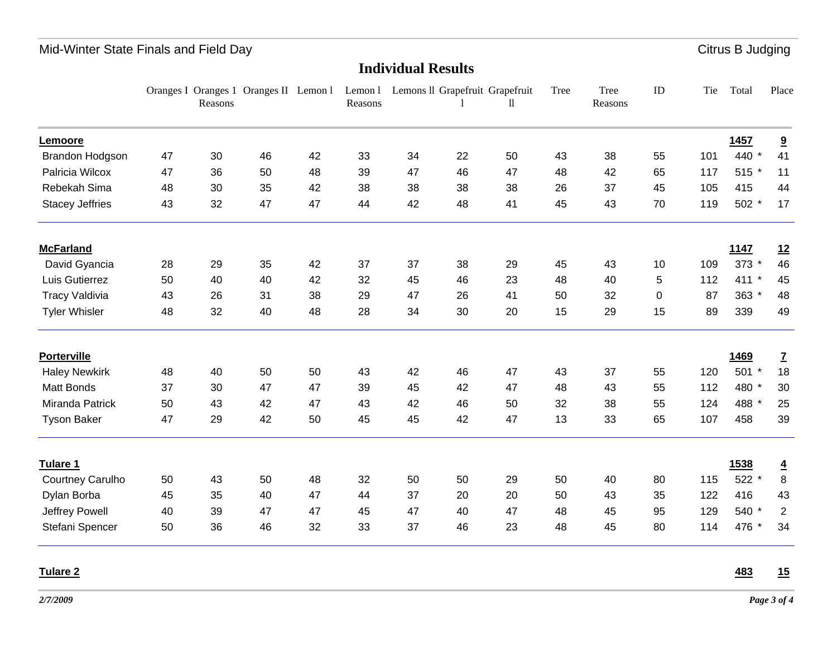### **Individual Results**

|                        |    | Reasons | Oranges I Oranges 1 Oranges II Lemon 1 |    | Reasons | Lemon 1 Lemons II Grapefruit Grapefruit |    | 11 | <b>Tree</b> | Tree<br>Reasons | ID       | Tie | Total | Place                   |
|------------------------|----|---------|----------------------------------------|----|---------|-----------------------------------------|----|----|-------------|-----------------|----------|-----|-------|-------------------------|
| Lemoore                |    |         |                                        |    |         |                                         |    |    |             |                 |          |     | 1457  | $\overline{\mathbf{a}}$ |
| Brandon Hodgson        | 47 | 30      | 46                                     | 42 | 33      | 34                                      | 22 | 50 | 43          | 38              | 55       | 101 | 440 * | 41                      |
| Palricia Wilcox        | 47 | 36      | 50                                     | 48 | 39      | 47                                      | 46 | 47 | 48          | 42              | 65       | 117 | 515 * | 11                      |
| Rebekah Sima           | 48 | 30      | 35                                     | 42 | 38      | 38                                      | 38 | 38 | 26          | 37              | 45       | 105 | 415   | 44                      |
| <b>Stacey Jeffries</b> | 43 | 32      | 47                                     | 47 | 44      | 42                                      | 48 | 41 | 45          | 43              | 70       | 119 | 502 * | 17                      |
| <b>McFarland</b>       |    |         |                                        |    |         |                                         |    |    |             |                 |          |     | 1147  | 12                      |
| David Gyancia          | 28 | 29      | 35                                     | 42 | 37      | 37                                      | 38 | 29 | 45          | 43              | 10       | 109 | 373 * | 46                      |
| Luis Gutierrez         | 50 | 40      | 40                                     | 42 | 32      | 45                                      | 46 | 23 | 48          | 40              | 5        | 112 | 411 * | 45                      |
| <b>Tracy Valdivia</b>  | 43 | 26      | 31                                     | 38 | 29      | 47                                      | 26 | 41 | 50          | 32              | $\Omega$ | 87  | 363 * | 48                      |
| <b>Tyler Whisler</b>   | 48 | 32      | 40                                     | 48 | 28      | 34                                      | 30 | 20 | 15          | 29              | 15       | 89  | 339   | 49                      |
| <b>Porterville</b>     |    |         |                                        |    |         |                                         |    |    |             |                 |          |     | 1469  | $\mathbf{Z}$            |
| <b>Haley Newkirk</b>   | 48 | 40      | 50                                     | 50 | 43      | 42                                      | 46 | 47 | 43          | 37              | 55       | 120 | 501 * | 18                      |
| <b>Matt Bonds</b>      | 37 | 30      | 47                                     | 47 | 39      | 45                                      | 42 | 47 | 48          | 43              | 55       | 112 | 480 * | 30                      |
| Miranda Patrick        | 50 | 43      | 42                                     | 47 | 43      | 42                                      | 46 | 50 | 32          | 38              | 55       | 124 | 488 * | 25                      |
| <b>Tyson Baker</b>     | 47 | 29      | 42                                     | 50 | 45      | 45                                      | 42 | 47 | 13          | 33              | 65       | 107 | 458   | 39                      |
| Tulare 1               |    |         |                                        |    |         |                                         |    |    |             |                 |          |     | 1538  | $\overline{4}$          |
| Courtney Carulho       | 50 | 43      | 50                                     | 48 | 32      | 50                                      | 50 | 29 | 50          | 40              | 80       | 115 | 522 * | $\,8\,$                 |
| Dylan Borba            | 45 | 35      | 40                                     | 47 | 44      | 37                                      | 20 | 20 | 50          | 43              | 35       | 122 | 416   | 43                      |
| Jeffrey Powell         | 40 | 39      | 47                                     | 47 | 45      | 47                                      | 40 | 47 | 48          | 45              | 95       | 129 | 540 * | $\overline{c}$          |
| Stefani Spencer        | 50 | 36      | 46                                     | 32 | 33      | 37                                      | 46 | 23 | 48          | 45              | 80       | 114 | 476 * | 34                      |

#### **Tulare 2**

**483 15**